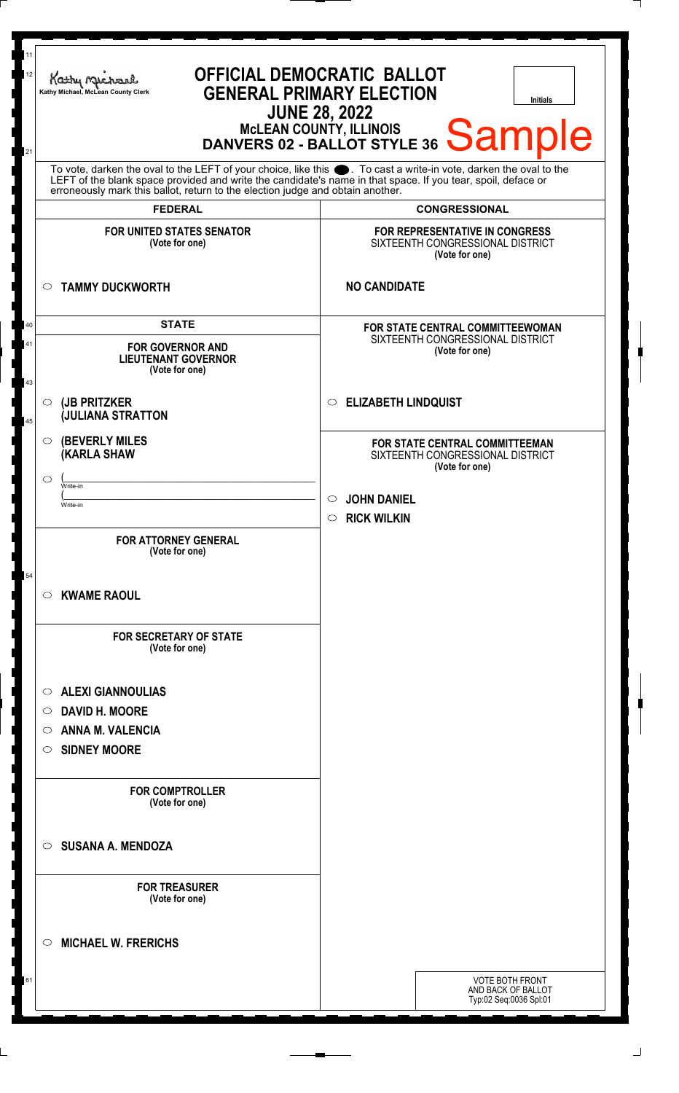| 11<br><b>OFFICIAL DEMOCRATIC BALLOT</b><br>12<br>Kathy Michael<br><b>GENERAL PRIMARY ELECTION</b><br>Kathy Michael, McLean County Clerk<br><b>Initials</b><br><b>JUNE 28, 2022</b><br>MCLEAN COUNTY, ILLINOIS<br>DANVERS 02 - BALLOT STYLE 36 Samvers<br>21                                                        |                                                                                             |  |
|--------------------------------------------------------------------------------------------------------------------------------------------------------------------------------------------------------------------------------------------------------------------------------------------------------------------|---------------------------------------------------------------------------------------------|--|
| To vote, darken the oval to the LEFT of your choice, like this . To cast a write-in vote, darken the oval to the<br>LEFT of the blank space provided and write the candidate's name in that space. If you tear, spoil, deface or<br>erroneously mark this ballot, return to the election judge and obtain another. |                                                                                             |  |
| <b>FEDERAL</b>                                                                                                                                                                                                                                                                                                     | <b>CONGRESSIONAL</b>                                                                        |  |
| <b>FOR UNITED STATES SENATOR</b><br>(Vote for one)                                                                                                                                                                                                                                                                 | FOR REPRESENTATIVE IN CONGRESS<br>SIXTEENTH CONGRESSIONAL DISTRICT<br>(Vote for one)        |  |
| <b>TAMMY DUCKWORTH</b><br>$\circ$                                                                                                                                                                                                                                                                                  | <b>NO CANDIDATE</b>                                                                         |  |
| <b>STATE</b>                                                                                                                                                                                                                                                                                                       | <b>FOR STATE CENTRAL COMMITTEEWOMAN</b>                                                     |  |
| <b>FOR GOVERNOR AND</b><br><b>LIEUTENANT GOVERNOR</b><br>(Vote for one)                                                                                                                                                                                                                                            | SIXTEENTH CONGRESSIONAL DISTRICT<br>(Vote for one)                                          |  |
| (JB PRITZKER<br>$\circ$<br><b>JULIANA STRATTON</b>                                                                                                                                                                                                                                                                 | <b>ELIZABETH LINDQUIST</b><br>$\circlearrowright$                                           |  |
| <b>(BEVERLY MILES)</b><br><b>(KARLA SHAW</b>                                                                                                                                                                                                                                                                       | <b>FOR STATE CENTRAL COMMITTEEMAN</b><br>SIXTEENTH CONGRESSIONAL DISTRICT<br>(Vote for one) |  |
| ◯<br>Write-in                                                                                                                                                                                                                                                                                                      | <b>JOHN DANIEL</b><br>$\circlearrowright$                                                   |  |
| Write-in                                                                                                                                                                                                                                                                                                           | <b>RICK WILKIN</b><br>$\circ$                                                               |  |
| <b>FOR ATTORNEY GENERAL</b><br>(Vote for one)                                                                                                                                                                                                                                                                      |                                                                                             |  |
| <b>KWAME RAOUL</b><br>O                                                                                                                                                                                                                                                                                            |                                                                                             |  |
| <b>FOR SECRETARY OF STATE</b><br>(Vote for one)                                                                                                                                                                                                                                                                    |                                                                                             |  |
| <b>ALEXI GIANNOULIAS</b><br>O                                                                                                                                                                                                                                                                                      |                                                                                             |  |
| <b>DAVID H. MOORE</b><br>O                                                                                                                                                                                                                                                                                         |                                                                                             |  |
| <b>ANNA M. VALENCIA</b><br>O                                                                                                                                                                                                                                                                                       |                                                                                             |  |
| <b>SIDNEY MOORE</b><br>O                                                                                                                                                                                                                                                                                           |                                                                                             |  |
| <b>FOR COMPTROLLER</b><br>(Vote for one)                                                                                                                                                                                                                                                                           |                                                                                             |  |
| <b>SUSANA A. MENDOZA</b><br>◯                                                                                                                                                                                                                                                                                      |                                                                                             |  |
| <b>FOR TREASURER</b><br>(Vote for one)                                                                                                                                                                                                                                                                             |                                                                                             |  |
| <b>MICHAEL W. FRERICHS</b><br>◯                                                                                                                                                                                                                                                                                    |                                                                                             |  |
|                                                                                                                                                                                                                                                                                                                    | VOTE BOTH FRONT<br>AND BACK OF BALLOT<br>Typ:02 Seq:0036 Spl:01                             |  |